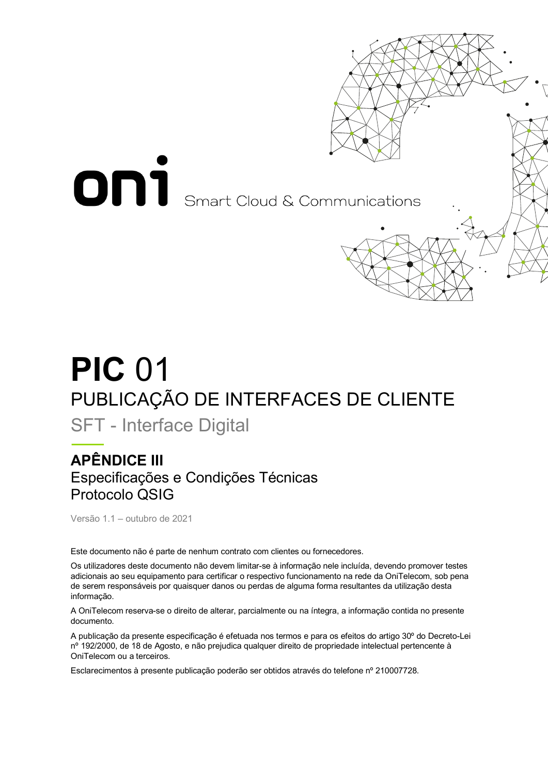

# **PIC** 01 PUBLICAÇÃO DE INTERFACES DE CLIENTE

SFT - Interface Digital

## **APÊNDICE III** Especificações e Condições Técnicas Protocolo QSIG

Versão 1.1 – outubro de 2021

Este documento não é parte de nenhum contrato com clientes ou fornecedores.

Os utilizadores deste documento não devem limitar-se à informação nele incluída, devendo promover testes adicionais ao seu equipamento para certificar o respectivo funcionamento na rede da OniTelecom, sob pena de serem responsáveis por quaisquer danos ou perdas de alguma forma resultantes da utilização desta informação.

A OniTelecom reserva-se o direito de alterar, parcialmente ou na íntegra, a informação contida no presente documento.

A publicação da presente especificação é efetuada nos termos e para os efeitos do artigo 30º do Decreto-Lei nº 192/2000, de 18 de Agosto, e não prejudica qualquer direito de propriedade intelectual pertencente à OniTelecom ou a terceiros.

Esclarecimentos à presente publicação poderão ser obtidos através do telefone nº 210007728.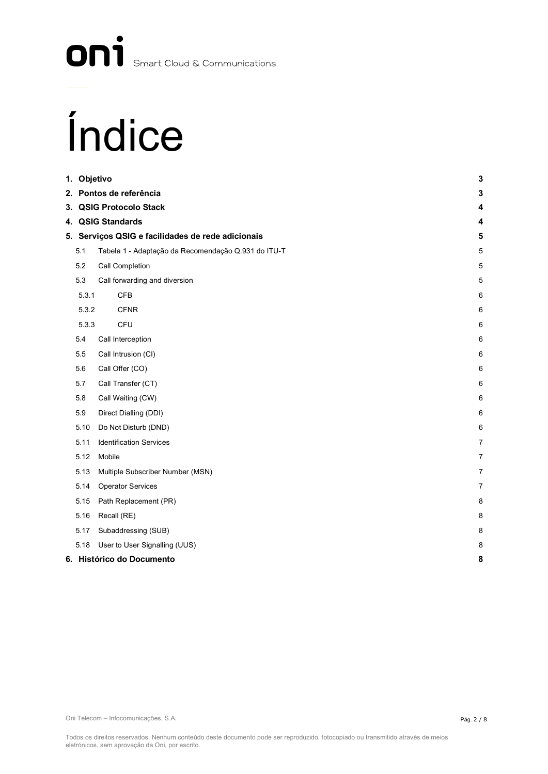# On<sup>1</sup> Smart Cloud & Communications

# Índice

| 1. Objetivo |                                                     | 3               |
|-------------|-----------------------------------------------------|-----------------|
|             | 2. Pontos de referência                             | 3               |
|             | 3. QSIG Protocolo Stack                             | 4               |
|             | 4. QSIG Standards                                   | 4               |
|             | 5. Serviços QSIG e facilidades de rede adicionais   | 5               |
| 5.1         | Tabela 1 - Adaptação da Recomendação Q.931 do ITU-T | $\,$ 5 $\,$     |
| 5.2         | Call Completion                                     | $\sqrt{5}$      |
| 5.3         | Call forwarding and diversion                       | 5               |
| 5.3.1       | <b>CFB</b>                                          | $6\phantom{1}6$ |
| 5.3.2       | <b>CFNR</b>                                         | $6\phantom{1}6$ |
| 5.3.3       | CFU                                                 | 6               |
| 5.4         | Call Interception                                   | 6               |
| 5.5         | Call Intrusion (CI)                                 | 6               |
| 5.6         | Call Offer (CO)                                     | 6               |
| 5.7         | Call Transfer (CT)                                  | $6\phantom{1}6$ |
| 5.8         | Call Waiting (CW)                                   | $6\phantom{1}6$ |
| 5.9         | Direct Dialling (DDI)                               | $6\phantom{1}6$ |
| 5.10        | Do Not Disturb (DND)                                | 6               |
| 5.11        | <b>Identification Services</b>                      | $\overline{7}$  |
| 5.12        | Mobile                                              | $\overline{7}$  |
| 5.13        | Multiple Subscriber Number (MSN)                    | $\overline{7}$  |
| 5.14        | Operator Services                                   | $\overline{7}$  |
| 5.15        | Path Replacement (PR)                               | 8               |
| 5.16        | Recall (RE)                                         | 8               |
| 5.17        | Subaddressing (SUB)                                 | 8               |
| 5.18        | User to User Signalling (UUS)                       | 8               |
|             | 6. Histórico do Documento                           | 8               |

Oni Telecom – Infocomunicações, S.A.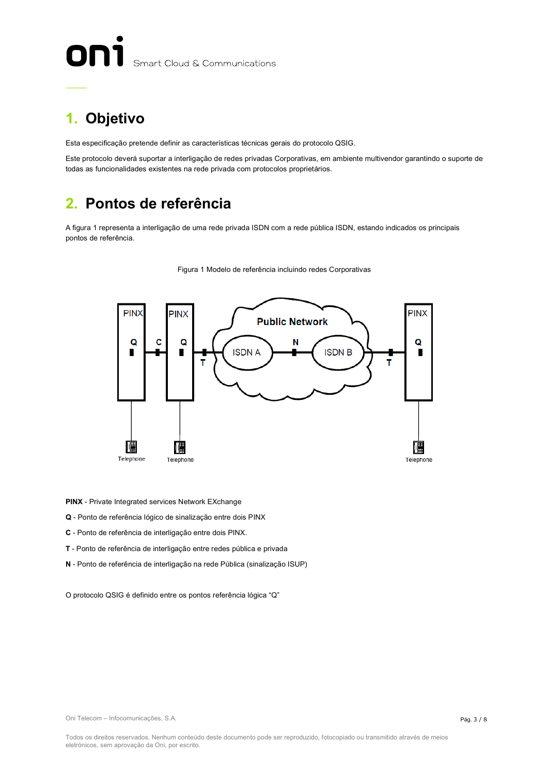# Smart Cloud & Communications

# **1. Objetivo**

Esta especificação pretende definir as características técnicas gerais do protocolo QSIG.

Este protocolo deverá suportar a interligação de redes privadas Corporativas, em ambiente multivendor garantindo o suporte de todas as funcionalidades existentes na rede privada com protocolos proprietários.

## **2. Pontos de referência**

A figura 1 representa a interligação de uma rede privada ISDN com a rede pública ISDN, estando indicados os principais pontos de referência.





**PINX** - Private Integrated services Network EXchange

**Q** - Ponto de referência lógico de sinalização entre dois PINX

**C** - Ponto de referência de interligação entre dois PINX.

**T** - Ponto de referência de interligação entre redes pública e privada

**N** - Ponto de referência de interligação na rede Pública (sinalização ISUP)

O protocolo QSIG é definido entre os pontos referência lógica "Q"

Oni Telecom – Infocomunicações, S.A.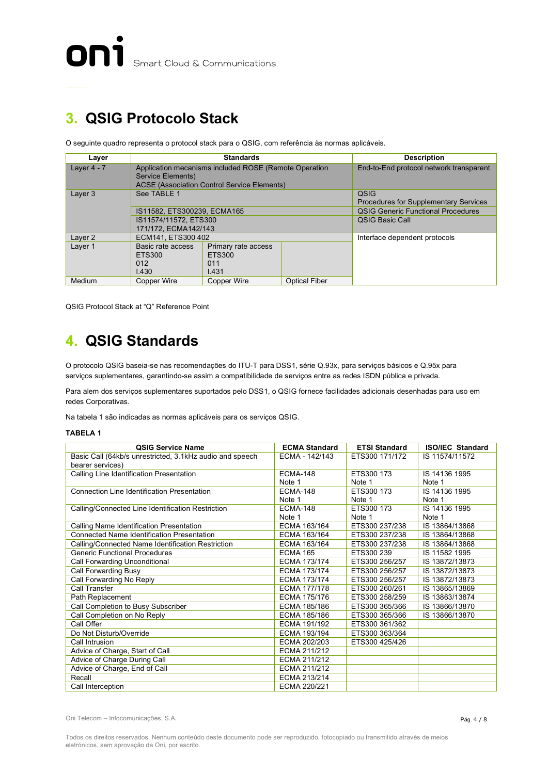# **3. QSIG Protocolo Stack**

O seguinte quadro representa o protocol stack para o QSIG, com referência às normas aplicáveis.

| Laver                         | <b>Standards</b>      |                                                                                                             | <b>Description</b>                                   |                                           |
|-------------------------------|-----------------------|-------------------------------------------------------------------------------------------------------------|------------------------------------------------------|-------------------------------------------|
| Layer $4 - 7$                 | Service Elements)     | Application mecanisms included ROSE (Remote Operation<br><b>ACSE (Association Control Service Elements)</b> |                                                      | End-to-End protocol network transparent   |
| Layer 3                       | See TABLE 1           |                                                                                                             | QSIG<br><b>Procedures for Supplementary Services</b> |                                           |
|                               |                       | IS11582, ETS300239, ECMA165                                                                                 |                                                      | <b>QSIG Generic Functional Procedures</b> |
|                               | IS11574/11572. ETS300 |                                                                                                             | <b>OSIG Basic Call</b>                               |                                           |
|                               | 171/172. ECMA142/143  |                                                                                                             |                                                      |                                           |
| Layer 2<br>ECM141, ETS300 402 |                       |                                                                                                             | Interface dependent protocols                        |                                           |
| Layer 1                       | Basic rate access     | Primary rate access                                                                                         |                                                      |                                           |
|                               | ETS300                | ETS300                                                                                                      |                                                      |                                           |
|                               | 012                   | 011                                                                                                         |                                                      |                                           |
|                               | 1.430                 | 1.431                                                                                                       |                                                      |                                           |
| Medium                        | <b>Copper Wire</b>    | Copper Wire                                                                                                 | <b>Optical Fiber</b>                                 |                                           |

QSIG Protocol Stack at "Q" Reference Point

# **4. QSIG Standards**

O protocolo QSIG baseia-se nas recomendações do ITU-T para DSS1, série Q.93x, para serviços básicos e Q.95x para serviços suplementares, garantindo-se assim a compatibilidade de serviços entre as redes ISDN pública e privada.

Para alem dos serviços suplementares suportados pelo DSS1, o QSIG fornece facilidades adicionais desenhadas para uso em redes Corporativas.

Na tabela 1 são indicadas as normas aplicáveis para os serviços QSIG.

#### **TABELA 1**

| <b>QSIG Service Name</b>                                 | <b>ECMA Standard</b> | <b>ETSI Standard</b> | <b>ISO/IEC Standard</b> |
|----------------------------------------------------------|----------------------|----------------------|-------------------------|
| Basic Call (64kb/s unrestricted, 3.1kHz audio and speech | ECMA - 142/143       | ETS300 171/172       | IS 11574/11572          |
| bearer services)                                         |                      |                      |                         |
| Calling Line Identification Presentation                 | <b>ECMA-148</b>      | ETS300 173           | IS 14136 1995           |
|                                                          | Note 1               | Note 1               | Note 1                  |
| Connection Line Identification Presentation              | <b>ECMA-148</b>      | ETS300 173           | IS 14136 1995           |
|                                                          | Note 1               | Note 1               | Note 1                  |
| Calling/Connected Line Identification Restriction        | <b>ECMA-148</b>      | ETS300 173           | IS 14136 1995           |
|                                                          | Note 1               | Note 1               | Note 1                  |
| Calling Name Identification Presentation                 | ECMA 163/164         | ETS300 237/238       | IS 13864/13868          |
| <b>Connected Name Identification Presentation</b>        | ECMA 163/164         | ETS300 237/238       | IS 13864/13868          |
| Calling/Connected Name Identification Restriction        | ECMA 163/164         | ETS300 237/238       | IS 13864/13868          |
| <b>Generic Functional Procedures</b>                     | <b>ECMA 165</b>      | ETS300 239           | IS 11582 1995           |
| Call Forwarding Unconditional                            | ECMA 173/174         | ETS300 256/257       | IS 13872/13873          |
| <b>Call Forwarding Busy</b>                              | ECMA 173/174         | ETS300 256/257       | IS 13872/13873          |
| Call Forwarding No Reply                                 | ECMA 173/174         | ETS300 256/257       | IS 13872/13873          |
| Call Transfer                                            | <b>ECMA 177/178</b>  | ETS300 260/261       | IS 13865/13869          |
| Path Replacement                                         | ECMA 175/176         | ETS300 258/259       | IS 13863/13874          |
| Call Completion to Busy Subscriber                       | ECMA 185/186         | ETS300 365/366       | IS 13866/13870          |
| Call Completion on No Reply                              | ECMA 185/186         | ETS300 365/366       | IS 13866/13870          |
| Call Offer                                               | ECMA 191/192         | ETS300 361/362       |                         |
| Do Not Disturb/Override                                  | ECMA 193/194         | ETS300 363/364       |                         |
| Call Intrusion                                           | ECMA 202/203         | ETS300 425/426       |                         |
| Advice of Charge, Start of Call                          | ECMA 211/212         |                      |                         |
| Advice of Charge During Call                             | ECMA 211/212         |                      |                         |
| Advice of Charge, End of Call                            | ECMA 211/212         |                      |                         |
| Recall                                                   | ECMA 213/214         |                      |                         |
| Call Interception                                        | ECMA 220/221         |                      |                         |

Oni Telecom – Infocomunicações, S.A.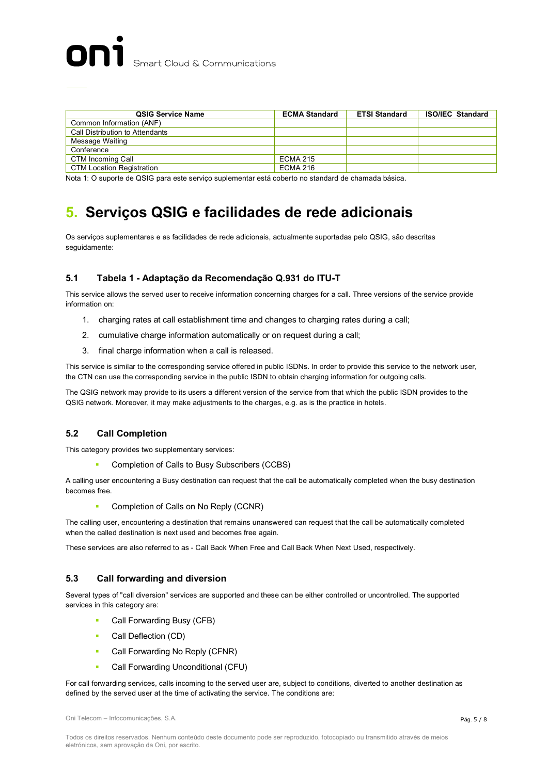| <b>QSIG Service Name</b>         | <b>ECMA Standard</b> | <b>ETSI Standard</b> | <b>ISO/IEC Standard</b> |
|----------------------------------|----------------------|----------------------|-------------------------|
| Common Information (ANF)         |                      |                      |                         |
| Call Distribution to Attendants  |                      |                      |                         |
| Message Waiting                  |                      |                      |                         |
| Conference                       |                      |                      |                         |
| CTM Incoming Call                | <b>ECMA 215</b>      |                      |                         |
| <b>CTM Location Registration</b> | <b>ECMA 216</b>      |                      |                         |

Nota 1: O suporte de QSIG para este serviço suplementar está coberto no standard de chamada básica.

# **5. Serviços QSIG e facilidades de rede adicionais**

Os serviços suplementares e as facilidades de rede adicionais, actualmente suportadas pelo QSIG, são descritas seguidamente:

#### **5.1 Tabela 1 - Adaptação da Recomendação Q.931 do ITU-T**

This service allows the served user to receive information concerning charges for a call. Three versions of the service provide information on:

- 1. charging rates at call establishment time and changes to charging rates during a call;
- 2. cumulative charge information automatically or on request during a call;
- 3. final charge information when a call is released.

This service is similar to the corresponding service offered in public ISDNs. In order to provide this service to the network user, the CTN can use the corresponding service in the public ISDN to obtain charging information for outgoing calls.

The QSIG network may provide to its users a different version of the service from that which the public ISDN provides to the QSIG network. Moreover, it may make adjustments to the charges, e.g. as is the practice in hotels.

#### **5.2 Call Completion**

This category provides two supplementary services:

§ Completion of Calls to Busy Subscribers (CCBS)

A calling user encountering a Busy destination can request that the call be automatically completed when the busy destination becomes free.

§ Completion of Calls on No Reply (CCNR)

The calling user, encountering a destination that remains unanswered can request that the call be automatically completed when the called destination is next used and becomes free again.

These services are also referred to as - Call Back When Free and Call Back When Next Used, respectively.

#### **5.3 Call forwarding and diversion**

Several types of "call diversion" services are supported and these can be either controlled or uncontrolled. The supported services in this category are:

- **•** Call Forwarding Busy (CFB)
- Call Deflection (CD)
- Call Forwarding No Reply (CFNR)
- Call Forwarding Unconditional (CFU)

For call forwarding services, calls incoming to the served user are, subject to conditions, diverted to another destination as defined by the served user at the time of activating the service. The conditions are:

Oni Telecom – Infocomunicações, S.A.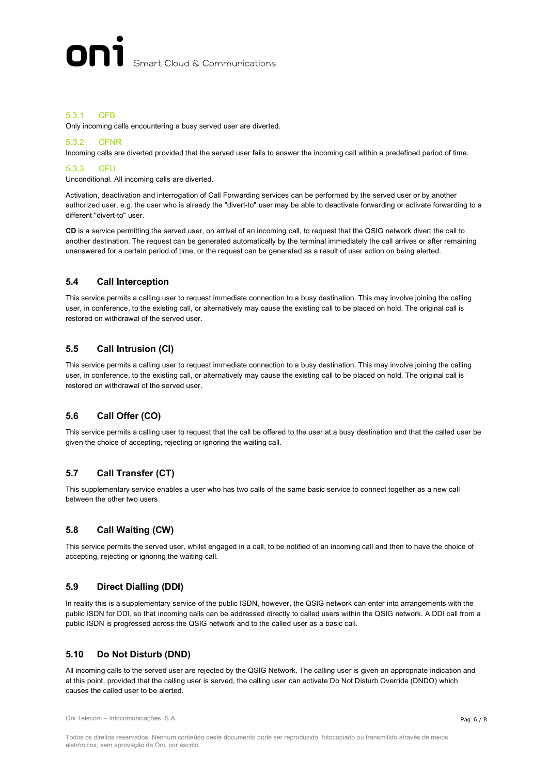

#### 5.3.1 CFB

Only incoming calls encountering a busy served user are diverted.

#### 5.3.2 CFNR

Incoming calls are diverted provided that the served user fails to answer the incoming call within a predefined period of time.

#### 5.3.3 CFU

Unconditional. All incoming calls are diverted.

Activation, deactivation and interrogation of Call Forwarding services can be performed by the served user or by another authorized user, e.g. the user who is already the "divert-to" user may be able to deactivate forwarding or activate forwarding to a different "divert-to" user.

**CD** is a service permitting the served user, on arrival of an incoming call, to request that the QSIG network divert the call to another destination. The request can be generated automatically by the terminal immediately the call arrives or after remaining unanswered for a certain period of time, or the request can be generated as a result of user action on being alerted.

#### **5.4 Call Interception**

This service permits a calling user to request immediate connection to a busy destination. This may involve joining the calling user, in conference, to the existing call, or alternatively may cause the existing call to be placed on hold. The original call is restored on withdrawal of the served user.

#### **5.5 Call Intrusion (CI)**

This service permits a calling user to request immediate connection to a busy destination. This may involve joining the calling user, in conference, to the existing call, or alternatively may cause the existing call to be placed on hold. The original call is restored on withdrawal of the served user.

#### **5.6 Call Offer (CO)**

This service permits a calling user to request that the call be offered to the user at a busy destination and that the called user be given the choice of accepting, rejecting or ignoring the waiting call.

#### **5.7 Call Transfer (CT)**

This supplementary service enables a user who has two calls of the same basic service to connect together as a new call between the other two users.

#### **5.8 Call Waiting (CW)**

This service permits the served user, whilst engaged in a call, to be notified of an incoming call and then to have the choice of accepting, rejecting or ignoring the waiting call.

#### **5.9 Direct Dialling (DDI)**

In reality this is a supplementary service of the public ISDN, however, the QSIG network can enter into arrangements with the public ISDN for DDI, so that incoming calls can be addressed directly to called users within the QSIG network. A DDI call from a public ISDN is progressed across the QSIG network and to the called user as a basic call.

#### **5.10 Do Not Disturb (DND)**

All incoming calls to the served user are rejected by the QSIG Network. The calling user is given an appropriate indication and at this point, provided that the calling user is served, the calling user can activate Do Not Disturb Override (DNDO) which causes the called user to be alerted.

Oni Telecom – Infocomunicações, S.A.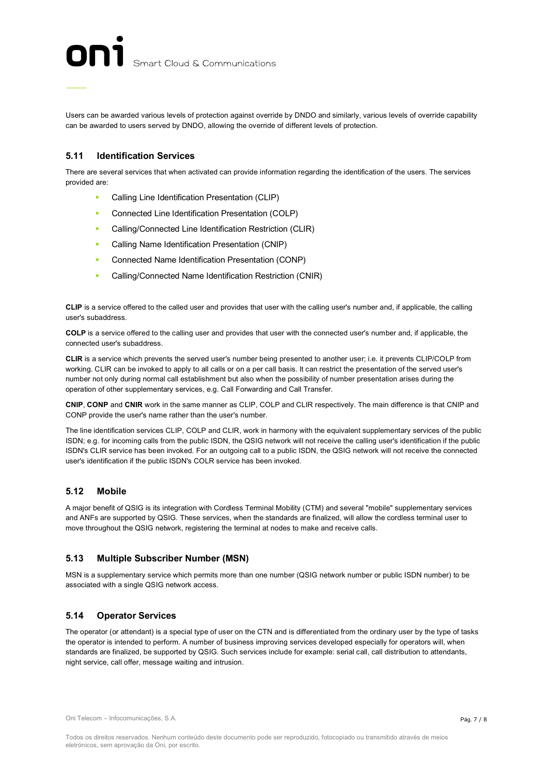Users can be awarded various levels of protection against override by DNDO and similarly, various levels of override capability can be awarded to users served by DNDO, allowing the override of different levels of protection.

#### **5.11 Identification Services**

There are several services that when activated can provide information regarding the identification of the users. The services provided are:

- § Calling Line Identification Presentation (CLIP)
- Connected Line Identification Presentation (COLP)
- **•** Calling/Connected Line Identification Restriction (CLIR)
- **Calling Name Identification Presentation (CNIP)**
- **•** Connected Name Identification Presentation (CONP)
- **•** Calling/Connected Name Identification Restriction (CNIR)

**CLIP** is a service offered to the called user and provides that user with the calling user's number and, if applicable, the calling user's subaddress.

**COLP** is a service offered to the calling user and provides that user with the connected user's number and, if applicable, the connected user's subaddress.

**CLIR** is a service which prevents the served user's number being presented to another user; i.e. it prevents CLIP/COLP from working. CLIR can be invoked to apply to all calls or on a per call basis. It can restrict the presentation of the served user's number not only during normal call establishment but also when the possibility of number presentation arises during the operation of other supplementary services, e.g. Call Forwarding and Call Transfer.

**CNIP**, **CONP** and **CNIR** work in the same manner as CLIP, COLP and CLIR respectively. The main difference is that CNIP and CONP provide the user's name rather than the user's number.

The line identification services CLIP, COLP and CLIR, work in harmony with the equivalent supplementary services of the public ISDN; e.g. for incoming calls from the public ISDN, the QSIG network will not receive the calling user's identification if the public ISDN's CLIR service has been invoked. For an outgoing call to a public ISDN, the QSIG network will not receive the connected user's identification if the public ISDN's COLR service has been invoked.

#### **5.12 Mobile**

A major benefit of QSIG is its integration with Cordless Terminal Mobility (CTM) and several "mobile" supplementary services and ANFs are supported by QSIG. These services, when the standards are finalized, will allow the cordless terminal user to move throughout the QSIG network, registering the terminal at nodes to make and receive calls.

#### **5.13 Multiple Subscriber Number (MSN)**

MSN is a supplementary service which permits more than one number (QSIG network number or public ISDN number) to be associated with a single QSIG network access.

#### **5.14 Operator Services**

The operator (or attendant) is a special type of user on the CTN and is differentiated from the ordinary user by the type of tasks the operator is intended to perform. A number of business improving services developed especially for operators will, when standards are finalized, be supported by QSIG. Such services include for example: serial call, call distribution to attendants, night service, call offer, message waiting and intrusion.

Oni Telecom – Infocomunicações, S.A.

Todos os direitos reservados. Nenhum conteúdo deste documento pode ser reproduzido, fotocopiado ou transmitido através de meios eletrónicos, sem aprovação da Oni, por escrito.